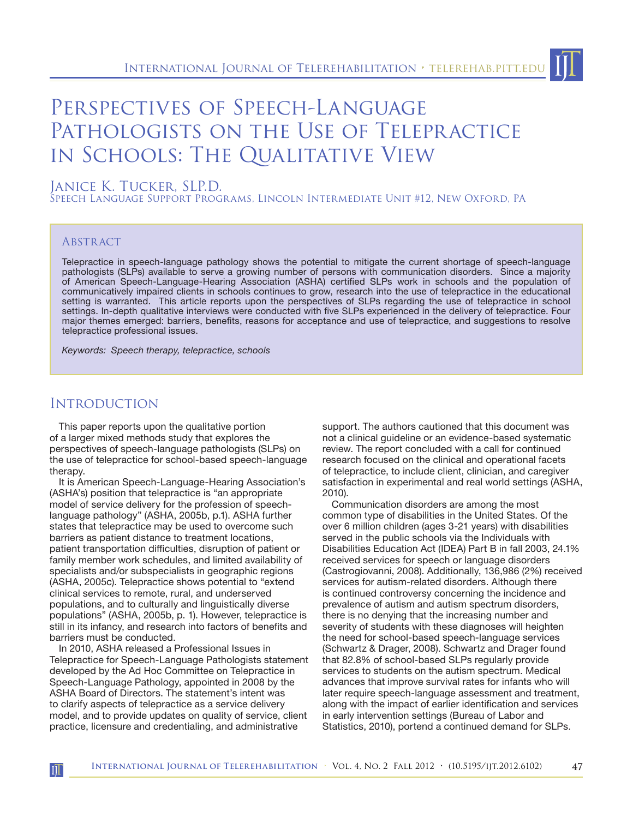# PERSPECTIVES OF SPEECH-LANGUAGE PATHOLOGISTS ON THE USE OF TELEPRACTICE in Schools: The Qualitative View

# Janice K. Tucker, SLP.D.

Speech Language Support Programs, Lincoln Intermediate Unit #12, New Oxford, PA

#### **ABSTRACT**

Telepractice in speech-language pathology shows the potential to mitigate the current shortage of speech-language pathologists (SLPs) available to serve a growing number of persons with communication disorders. Since a majority of American Speech-Language-Hearing Association (ASHA) certified SLPs work in schools and the population of communicatively impaired clients in schools continues to grow, research into the use of telepractice in the educational setting is warranted. This article reports upon the perspectives of SLPs regarding the use of telepractice in school settings. In-depth qualitative interviews were conducted with five SLPs experienced in the delivery of telepractice. Four major themes emerged: barriers, benefits, reasons for acceptance and use of telepractice, and suggestions to resolve telepractice professional issues.

*Keywords: Speech therapy, telepractice, schools*

# **INTRODUCTION**

II

This paper reports upon the qualitative portion of a larger mixed methods study that explores the perspectives of speech-language pathologists (SLPs) on the use of telepractice for school-based speech-language therapy.

It is American Speech-Language-Hearing Association's (ASHA's) position that telepractice is "an appropriate model of service delivery for the profession of speechlanguage pathology" (ASHA, 2005b, p.1). ASHA further states that telepractice may be used to overcome such barriers as patient distance to treatment locations, patient transportation difficulties, disruption of patient or family member work schedules, and limited availability of specialists and/or subspecialists in geographic regions (ASHA, 2005c). Telepractice shows potential to "extend clinical services to remote, rural, and underserved populations, and to culturally and linguistically diverse populations" (ASHA, 2005b, p. 1). However, telepractice is still in its infancy, and research into factors of benefits and barriers must be conducted.

In 2010, ASHA released a Professional Issues in Telepractice for Speech-Language Pathologists statement developed by the Ad Hoc Committee on Telepractice in Speech-Language Pathology, appointed in 2008 by the ASHA Board of Directors. The statement's intent was to clarify aspects of telepractice as a service delivery model, and to provide updates on quality of service, client practice, licensure and credentialing, and administrative

support. The authors cautioned that this document was not a clinical guideline or an evidence-based systematic review. The report concluded with a call for continued research focused on the clinical and operational facets of telepractice, to include client, clinician, and caregiver satisfaction in experimental and real world settings (ASHA, 2010).

Communication disorders are among the most common type of disabilities in the United States. Of the over 6 million children (ages 3-21 years) with disabilities served in the public schools via the Individuals with Disabilities Education Act (IDEA) Part B in fall 2003, 24.1% received services for speech or language disorders (Castrogiovanni, 2008). Additionally, 136,986 (2%) received services for autism-related disorders. Although there is continued controversy concerning the incidence and prevalence of autism and autism spectrum disorders, there is no denying that the increasing number and severity of students with these diagnoses will heighten the need for school-based speech-language services (Schwartz & Drager, 2008). Schwartz and Drager found that 82.8% of school-based SLPs regularly provide services to students on the autism spectrum. Medical advances that improve survival rates for infants who will later require speech-language assessment and treatment, along with the impact of earlier identification and services in early intervention settings (Bureau of Labor and Statistics, 2010), portend a continued demand for SLPs.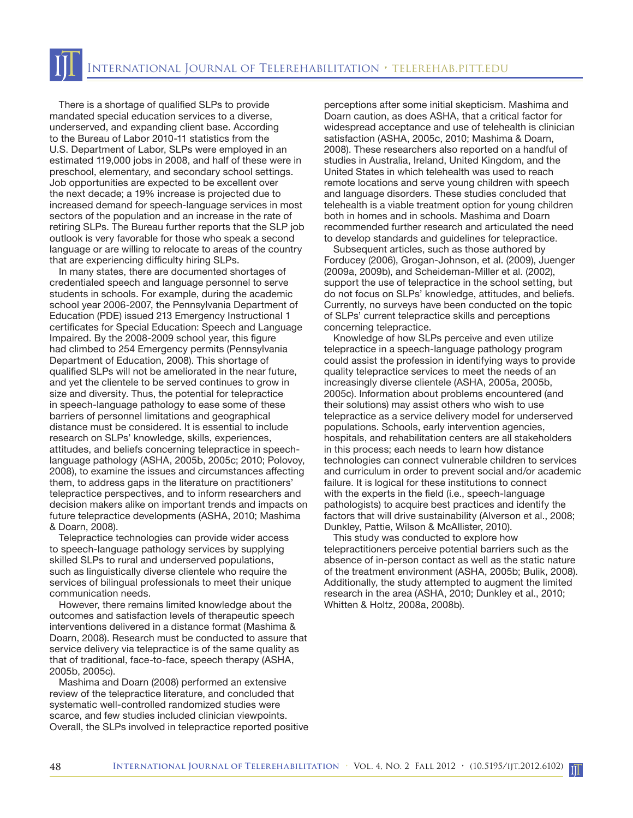There is a shortage of qualified SLPs to provide mandated special education services to a diverse, underserved, and expanding client base. According to the Bureau of Labor 2010-11 statistics from the U.S. Department of Labor, SLPs were employed in an estimated 119,000 jobs in 2008, and half of these were in preschool, elementary, and secondary school settings. Job opportunities are expected to be excellent over the next decade; a 19% increase is projected due to increased demand for speech-language services in most sectors of the population and an increase in the rate of retiring SLPs. The Bureau further reports that the SLP job outlook is very favorable for those who speak a second language or are willing to relocate to areas of the country that are experiencing difficulty hiring SLPs.

In many states, there are documented shortages of credentialed speech and language personnel to serve students in schools. For example, during the academic school year 2006-2007, the Pennsylvania Department of Education (PDE) issued 213 Emergency Instructional 1 certificates for Special Education: Speech and Language Impaired. By the 2008-2009 school year, this figure had climbed to 254 Emergency permits (Pennsylvania Department of Education, 2008). This shortage of qualified SLPs will not be ameliorated in the near future, and yet the clientele to be served continues to grow in size and diversity. Thus, the potential for telepractice in speech-language pathology to ease some of these barriers of personnel limitations and geographical distance must be considered. It is essential to include research on SLPs' knowledge, skills, experiences, attitudes, and beliefs concerning telepractice in speechlanguage pathology (ASHA, 2005b, 2005c; 2010; Polovoy, 2008), to examine the issues and circumstances affecting them, to address gaps in the literature on practitioners' telepractice perspectives, and to inform researchers and decision makers alike on important trends and impacts on future telepractice developments (ASHA, 2010; Mashima & Doarn, 2008).

Telepractice technologies can provide wider access to speech-language pathology services by supplying skilled SLPs to rural and underserved populations, such as linguistically diverse clientele who require the services of bilingual professionals to meet their unique communication needs.

However, there remains limited knowledge about the outcomes and satisfaction levels of therapeutic speech interventions delivered in a distance format (Mashima & Doarn, 2008). Research must be conducted to assure that service delivery via telepractice is of the same quality as that of traditional, face-to-face, speech therapy (ASHA, 2005b, 2005c).

Mashima and Doarn (2008) performed an extensive review of the telepractice literature, and concluded that systematic well-controlled randomized studies were scarce, and few studies included clinician viewpoints. Overall, the SLPs involved in telepractice reported positive

perceptions after some initial skepticism. Mashima and Doarn caution, as does ASHA, that a critical factor for widespread acceptance and use of telehealth is clinician satisfaction (ASHA, 2005c, 2010; Mashima & Doarn, 2008). These researchers also reported on a handful of studies in Australia, Ireland, United Kingdom, and the United States in which telehealth was used to reach remote locations and serve young children with speech and language disorders. These studies concluded that telehealth is a viable treatment option for young children both in homes and in schools. Mashima and Doarn recommended further research and articulated the need to develop standards and guidelines for telepractice.

Subsequent articles, such as those authored by Forducey (2006), Grogan-Johnson, et al. (2009), Juenger (2009a, 2009b), and Scheideman-Miller et al. (2002), support the use of telepractice in the school setting, but do not focus on SLPs' knowledge, attitudes, and beliefs. Currently, no surveys have been conducted on the topic of SLPs' current telepractice skills and perceptions concerning telepractice.

Knowledge of how SLPs perceive and even utilize telepractice in a speech-language pathology program could assist the profession in identifying ways to provide quality telepractice services to meet the needs of an increasingly diverse clientele (ASHA, 2005a, 2005b, 2005c). Information about problems encountered (and their solutions) may assist others who wish to use telepractice as a service delivery model for underserved populations. Schools, early intervention agencies, hospitals, and rehabilitation centers are all stakeholders in this process; each needs to learn how distance technologies can connect vulnerable children to services and curriculum in order to prevent social and/or academic failure. It is logical for these institutions to connect with the experts in the field (i.e., speech-language pathologists) to acquire best practices and identify the factors that will drive sustainability (Alverson et al., 2008; Dunkley, Pattie, Wilson & McAllister, 2010).

This study was conducted to explore how telepractitioners perceive potential barriers such as the absence of in-person contact as well as the static nature of the treatment environment (ASHA, 2005b; Bulik, 2008). Additionally, the study attempted to augment the limited research in the area (ASHA, 2010; Dunkley et al., 2010; Whitten & Holtz, 2008a, 2008b).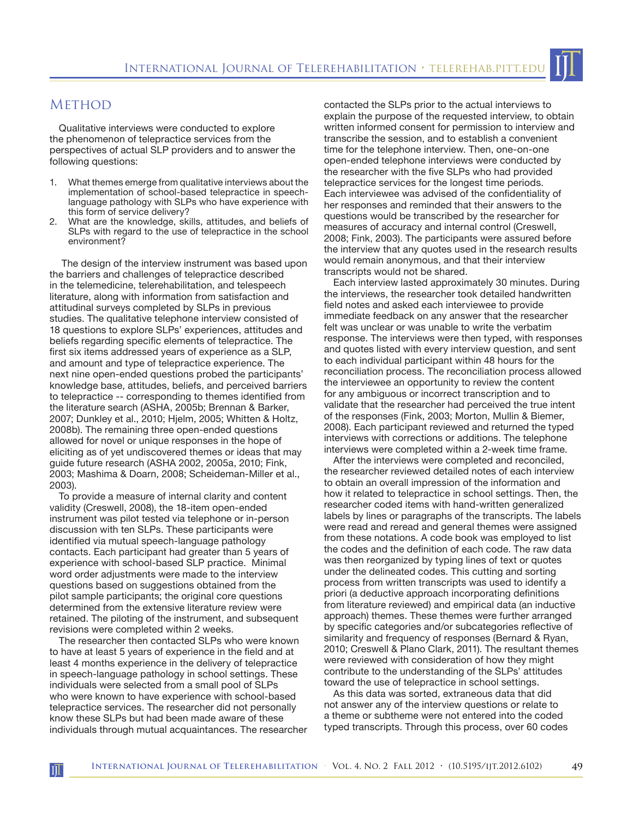# **METHOD**

Qualitative interviews were conducted to explore the phenomenon of telepractice services from the perspectives of actual SLP providers and to answer the following questions:

- 1. What themes emerge from qualitative interviews about the implementation of school-based telepractice in speechlanguage pathology with SLPs who have experience with this form of service delivery?
- 2. What are the knowledge, skills, attitudes, and beliefs of SLPs with regard to the use of telepractice in the school environment?

 The design of the interview instrument was based upon the barriers and challenges of telepractice described in the telemedicine, telerehabilitation, and telespeech literature, along with information from satisfaction and attitudinal surveys completed by SLPs in previous studies. The qualitative telephone interview consisted of 18 questions to explore SLPs' experiences, attitudes and beliefs regarding specific elements of telepractice. The first six items addressed years of experience as a SLP, and amount and type of telepractice experience. The next nine open-ended questions probed the participants' knowledge base, attitudes, beliefs, and perceived barriers to telepractice -- corresponding to themes identified from the literature search (ASHA, 2005b; Brennan & Barker, 2007; Dunkley et al., 2010; Hjelm, 2005; Whitten & Holtz, 2008b). The remaining three open-ended questions allowed for novel or unique responses in the hope of eliciting as of yet undiscovered themes or ideas that may guide future research (ASHA 2002, 2005a, 2010; Fink, 2003; Mashima & Doarn, 2008; Scheideman-Miller et al., 2003).

To provide a measure of internal clarity and content validity (Creswell, 2008), the 18-item open-ended instrument was pilot tested via telephone or in-person discussion with ten SLPs. These participants were identified via mutual speech-language pathology contacts. Each participant had greater than 5 years of experience with school-based SLP practice. Minimal word order adjustments were made to the interview questions based on suggestions obtained from the pilot sample participants; the original core questions determined from the extensive literature review were retained. The piloting of the instrument, and subsequent revisions were completed within 2 weeks.

The researcher then contacted SLPs who were known to have at least 5 years of experience in the field and at least 4 months experience in the delivery of telepractice in speech-language pathology in school settings. These individuals were selected from a small pool of SLPs who were known to have experience with school-based telepractice services. The researcher did not personally know these SLPs but had been made aware of these individuals through mutual acquaintances. The researcher

 $\prod$ 

contacted the SLPs prior to the actual interviews to explain the purpose of the requested interview, to obtain written informed consent for permission to interview and transcribe the session, and to establish a convenient time for the telephone interview. Then, one-on-one open-ended telephone interviews were conducted by the researcher with the five SLPs who had provided telepractice services for the longest time periods. Each interviewee was advised of the confidentiality of her responses and reminded that their answers to the questions would be transcribed by the researcher for measures of accuracy and internal control (Creswell, 2008; Fink, 2003). The participants were assured before the interview that any quotes used in the research results would remain anonymous, and that their interview transcripts would not be shared.

Each interview lasted approximately 30 minutes. During the interviews, the researcher took detailed handwritten field notes and asked each interviewee to provide immediate feedback on any answer that the researcher felt was unclear or was unable to write the verbatim response. The interviews were then typed, with responses and quotes listed with every interview question, and sent to each individual participant within 48 hours for the reconciliation process. The reconciliation process allowed the interviewee an opportunity to review the content for any ambiguous or incorrect transcription and to validate that the researcher had perceived the true intent of the responses (Fink, 2003; Morton, Mullin & Biemer, 2008). Each participant reviewed and returned the typed interviews with corrections or additions. The telephone interviews were completed within a 2-week time frame.

After the interviews were completed and reconciled, the researcher reviewed detailed notes of each interview to obtain an overall impression of the information and how it related to telepractice in school settings. Then, the researcher coded items with hand-written generalized labels by lines or paragraphs of the transcripts. The labels were read and reread and general themes were assigned from these notations. A code book was employed to list the codes and the definition of each code. The raw data was then reorganized by typing lines of text or quotes under the delineated codes. This cutting and sorting process from written transcripts was used to identify a priori (a deductive approach incorporating definitions from literature reviewed) and empirical data (an inductive approach) themes. These themes were further arranged by specific categories and/or subcategories reflective of similarity and frequency of responses (Bernard & Ryan, 2010; Creswell & Plano Clark, 2011). The resultant themes were reviewed with consideration of how they might contribute to the understanding of the SLPs' attitudes toward the use of telepractice in school settings.

As this data was sorted, extraneous data that did not answer any of the interview questions or relate to a theme or subtheme were not entered into the coded typed transcripts. Through this process, over 60 codes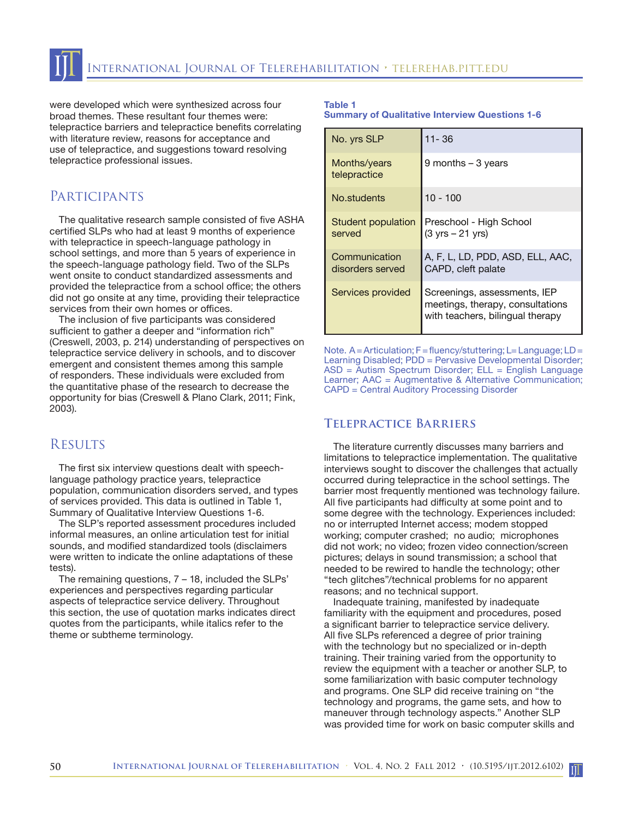International Journal of Telerehabilitation **•** telerehab.pitt.edu

were developed which were synthesized across four broad themes. These resultant four themes were: telepractice barriers and telepractice benefits correlating with literature review, reasons for acceptance and use of telepractice, and suggestions toward resolving telepractice professional issues.

# **PARTICIPANTS**

The qualitative research sample consisted of five ASHA certified SLPs who had at least 9 months of experience with telepractice in speech-language pathology in school settings, and more than 5 years of experience in the speech-language pathology field. Two of the SLPs went onsite to conduct standardized assessments and provided the telepractice from a school office; the others did not go onsite at any time, providing their telepractice services from their own homes or offices.

The inclusion of five participants was considered sufficient to gather a deeper and "information rich" (Creswell, 2003, p. 214) understanding of perspectives on telepractice service delivery in schools, and to discover emergent and consistent themes among this sample of responders. These individuals were excluded from the quantitative phase of the research to decrease the opportunity for bias (Creswell & Plano Clark, 2011; Fink, 2003).

# **RESULTS**

The first six interview questions dealt with speechlanguage pathology practice years, telepractice population, communication disorders served, and types of services provided. This data is outlined in Table 1, Summary of Qualitative Interview Questions 1-6.

The SLP's reported assessment procedures included informal measures, an online articulation test for initial sounds, and modified standardized tools (disclaimers were written to indicate the online adaptations of these tests).

The remaining questions, 7 – 18, included the SLPs' experiences and perspectives regarding particular aspects of telepractice service delivery. Throughout this section, the use of quotation marks indicates direct quotes from the participants, while italics refer to the theme or subtheme terminology.

#### **Table 1**

**Summary of Qualitative Interview Questions 1-6**

| No. yrs SLP                       | 11-36                                                                                                |
|-----------------------------------|------------------------------------------------------------------------------------------------------|
| Months/years<br>telepractice      | $9$ months $-3$ years                                                                                |
| No.students                       | $10 - 100$                                                                                           |
| Student population<br>served      | Preschool - High School<br>$(3 yrs - 21 yrs)$                                                        |
| Communication<br>disorders served | A, F, L, LD, PDD, ASD, ELL, AAC,<br>CAPD, cleft palate                                               |
| Services provided                 | Screenings, assessments, IEP<br>meetings, therapy, consultations<br>with teachers, bilingual therapy |

Note.  $A =$  Articulation;  $F =$  fluency/stuttering;  $L =$  Language;  $LD =$ Learning Disabled; PDD = Pervasive Developmental Disorder; ASD = Autism Spectrum Disorder; ELL = English Language Learner; AAC = Augmentative & Alternative Communication; CAPD = Central Auditory Processing Disorder

## **Telepractice Barriers**

The literature currently discusses many barriers and limitations to telepractice implementation. The qualitative interviews sought to discover the challenges that actually occurred during telepractice in the school settings. The barrier most frequently mentioned was technology failure. All five participants had difficulty at some point and to some degree with the technology. Experiences included: no or interrupted Internet access; modem stopped working; computer crashed; no audio; microphones did not work; no video; frozen video connection/screen pictures; delays in sound transmission; a school that needed to be rewired to handle the technology; other "tech glitches"/technical problems for no apparent reasons; and no technical support.

Inadequate training, manifested by inadequate familiarity with the equipment and procedures, posed a significant barrier to telepractice service delivery. All five SLPs referenced a degree of prior training with the technology but no specialized or in-depth training. Their training varied from the opportunity to review the equipment with a teacher or another SLP, to some familiarization with basic computer technology and programs. One SLP did receive training on "the technology and programs, the game sets, and how to maneuver through technology aspects." Another SLP was provided time for work on basic computer skills and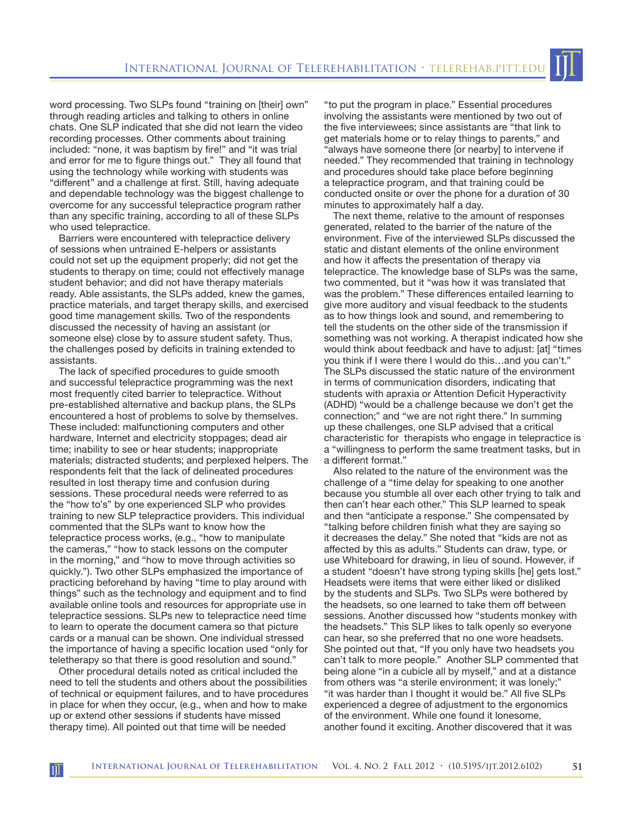word processing. Two SLPs found "training on [their] own" through reading articles and talking to others in online chats. One SLP indicated that she did not learn the video recording processes. Other comments about training included: "none, it was baptism by fire!" and "it was trial and error for me to figure things out." They all found that using the technology while working with students was "different" and a challenge at first. Still, having adequate and dependable technology was the biggest challenge to overcome for any successful telepractice program rather than any specific training, according to all of these SLPs who used telepractice.

Barriers were encountered with telepractice delivery of sessions when untrained E-helpers or assistants could not set up the equipment properly; did not get the students to therapy on time; could not effectively manage student behavior; and did not have therapy materials ready. Able assistants, the SLPs added, knew the games, practice materials, and target therapy skills, and exercised good time management skills. Two of the respondents discussed the necessity of having an assistant (or someone else) close by to assure student safety. Thus, the challenges posed by deficits in training extended to assistants.

The lack of specified procedures to guide smooth and successful telepractice programming was the next most frequently cited barrier to telepractice. Without pre-established alternative and backup plans, the SLPs encountered a host of problems to solve by themselves. These included: malfunctioning computers and other hardware, Internet and electricity stoppages; dead air time; inability to see or hear students; inappropriate materials; distracted students; and perplexed helpers. The respondents felt that the lack of delineated procedures resulted in lost therapy time and confusion during sessions. These procedural needs were referred to as the "how to's" by one experienced SLP who provides training to new SLP telepractice providers. This individual commented that the SLPs want to know how the telepractice process works, (e.g., "how to manipulate the cameras," "how to stack lessons on the computer in the morning," and "how to move through activities so quickly."). Two other SLPs emphasized the importance of practicing beforehand by having "time to play around with things" such as the technology and equipment and to find available online tools and resources for appropriate use in telepractice sessions. SLPs new to telepractice need time to learn to operate the document camera so that picture cards or a manual can be shown. One individual stressed the importance of having a specific location used "only for teletherapy so that there is good resolution and sound."

Other procedural details noted as critical included the need to tell the students and others about the possibilities of technical or equipment failures, and to have procedures in place for when they occur, (e.g., when and how to make up or extend other sessions if students have missed therapy time). All pointed out that time will be needed

 $\mathbf{H}$ 

"to put the program in place." Essential procedures involving the assistants were mentioned by two out of the five interviewees; since assistants are "that link to get materials home or to relay things to parents," and "always have someone there [or nearby] to intervene if needed." They recommended that training in technology and procedures should take place before beginning a telepractice program, and that training could be conducted onsite or over the phone for a duration of 30 minutes to approximately half a day.

The next theme, relative to the amount of responses generated, related to the barrier of the nature of the environment. Five of the interviewed SLPs discussed the static and distant elements of the online environment and how it affects the presentation of therapy via telepractice. The knowledge base of SLPs was the same, two commented, but it "was how it was translated that was the problem." These differences entailed learning to give more auditory and visual feedback to the students as to how things look and sound, and remembering to tell the students on the other side of the transmission if something was not working. A therapist indicated how she would think about feedback and have to adjust: [at] "times you think if I were there I would do this…and you can't." The SLPs discussed the static nature of the environment in terms of communication disorders, indicating that students with apraxia or Attention Deficit Hyperactivity (ADHD) "would be a challenge because we don't get the connection;" and "we are not right there." In summing up these challenges, one SLP advised that a critical characteristic for therapists who engage in telepractice is a "willingness to perform the same treatment tasks, but in a different format."

Also related to the nature of the environment was the challenge of a "time delay for speaking to one another because you stumble all over each other trying to talk and then can't hear each other." This SLP learned to speak and then "anticipate a response." She compensated by "talking before children finish what they are saying so it decreases the delay." She noted that "kids are not as affected by this as adults." Students can draw, type, or use Whiteboard for drawing, in lieu of sound. However, if a student "doesn't have strong typing skills [he] gets lost." Headsets were items that were either liked or disliked by the students and SLPs. Two SLPs were bothered by the headsets, so one learned to take them off between sessions. Another discussed how "students monkey with the headsets." This SLP likes to talk openly so everyone can hear, so she preferred that no one wore headsets. She pointed out that, "If you only have two headsets you can't talk to more people." Another SLP commented that being alone "in a cubicle all by myself," and at a distance from others was "a sterile environment; it was lonely;" "it was harder than I thought it would be." All five SLPs experienced a degree of adjustment to the ergonomics of the environment. While one found it lonesome, another found it exciting. Another discovered that it was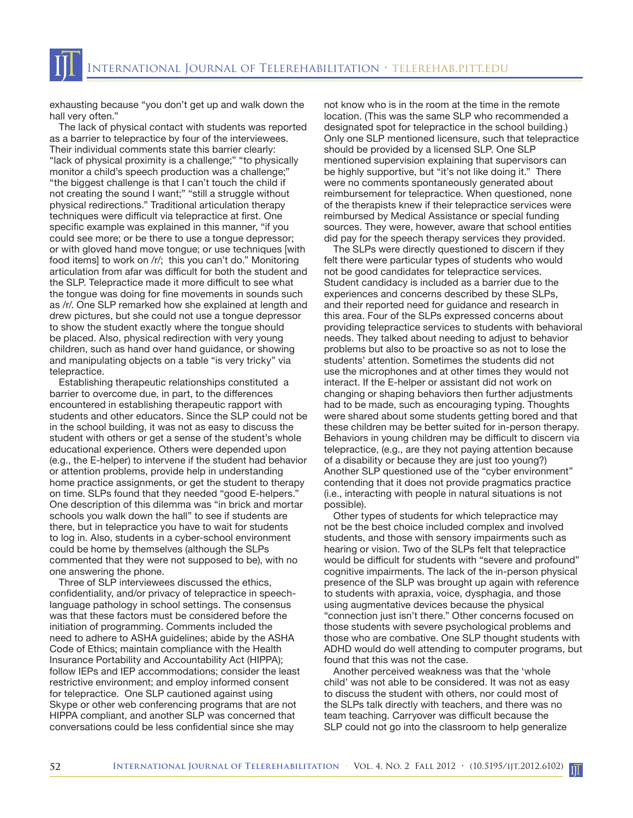exhausting because "you don't get up and walk down the hall very often."

The lack of physical contact with students was reported as a barrier to telepractice by four of the interviewees. Their individual comments state this barrier clearly: "lack of physical proximity is a challenge;" "to physically monitor a child's speech production was a challenge;" "the biggest challenge is that I can't touch the child if not creating the sound I want;" "still a struggle without physical redirections." Traditional articulation therapy techniques were difficult via telepractice at first. One specific example was explained in this manner, "if you could see more; or be there to use a tongue depressor; or with gloved hand move tongue; or use techniques [with food items] to work on /r/; this you can't do." Monitoring articulation from afar was difficult for both the student and the SLP. Telepractice made it more difficult to see what the tongue was doing for fine movements in sounds such as /r/. One SLP remarked how she explained at length and drew pictures, but she could not use a tongue depressor to show the student exactly where the tongue should be placed. Also, physical redirection with very young children, such as hand over hand guidance, or showing and manipulating objects on a table "is very tricky" via telepractice.

Establishing therapeutic relationships constituted a barrier to overcome due, in part, to the differences encountered in establishing therapeutic rapport with students and other educators. Since the SLP could not be in the school building, it was not as easy to discuss the student with others or get a sense of the student's whole educational experience. Others were depended upon (e.g., the E-helper) to intervene if the student had behavior or attention problems, provide help in understanding home practice assignments, or get the student to therapy on time. SLPs found that they needed "good E-helpers." One description of this dilemma was "in brick and mortar schools you walk down the hall" to see if students are there, but in telepractice you have to wait for students to log in. Also, students in a cyber-school environment could be home by themselves (although the SLPs commented that they were not supposed to be), with no one answering the phone.

Three of SLP interviewees discussed the ethics, confidentiality, and/or privacy of telepractice in speechlanguage pathology in school settings. The consensus was that these factors must be considered before the initiation of programming. Comments included the need to adhere to ASHA guidelines; abide by the ASHA Code of Ethics; maintain compliance with the Health Insurance Portability and Accountability Act (HIPPA); follow IEPs and IEP accommodations; consider the least restrictive environment; and employ informed consent for telepractice. One SLP cautioned against using Skype or other web conferencing programs that are not HIPPA compliant, and another SLP was concerned that conversations could be less confidential since she may

not know who is in the room at the time in the remote location. (This was the same SLP who recommended a designated spot for telepractice in the school building.) Only one SLP mentioned licensure, such that telepractice should be provided by a licensed SLP. One SLP mentioned supervision explaining that supervisors can be highly supportive, but "it's not like doing it." There were no comments spontaneously generated about reimbursement for telepractice. When questioned, none of the therapists knew if their telepractice services were reimbursed by Medical Assistance or special funding sources. They were, however, aware that school entities did pay for the speech therapy services they provided.

The SLPs were directly questioned to discern if they felt there were particular types of students who would not be good candidates for telepractice services. Student candidacy is included as a barrier due to the experiences and concerns described by these SLPs, and their reported need for guidance and research in this area. Four of the SLPs expressed concerns about providing telepractice services to students with behavioral needs. They talked about needing to adjust to behavior problems but also to be proactive so as not to lose the students' attention. Sometimes the students did not use the microphones and at other times they would not interact. If the E-helper or assistant did not work on changing or shaping behaviors then further adjustments had to be made, such as encouraging typing. Thoughts were shared about some students getting bored and that these children may be better suited for in-person therapy. Behaviors in young children may be difficult to discern via telepractice, (e.g., are they not paying attention because of a disability or because they are just too young?) Another SLP questioned use of the "cyber environment" contending that it does not provide pragmatics practice (i.e., interacting with people in natural situations is not possible).

Other types of students for which telepractice may not be the best choice included complex and involved students, and those with sensory impairments such as hearing or vision. Two of the SLPs felt that telepractice would be difficult for students with "severe and profound" cognitive impairments. The lack of the in-person physical presence of the SLP was brought up again with reference to students with apraxia, voice, dysphagia, and those using augmentative devices because the physical "connection just isn't there." Other concerns focused on those students with severe psychological problems and those who are combative. One SLP thought students with ADHD would do well attending to computer programs, but found that this was not the case.

Another perceived weakness was that the 'whole child' was not able to be considered. It was not as easy to discuss the student with others, nor could most of the SLPs talk directly with teachers, and there was no team teaching. Carryover was difficult because the SLP could not go into the classroom to help generalize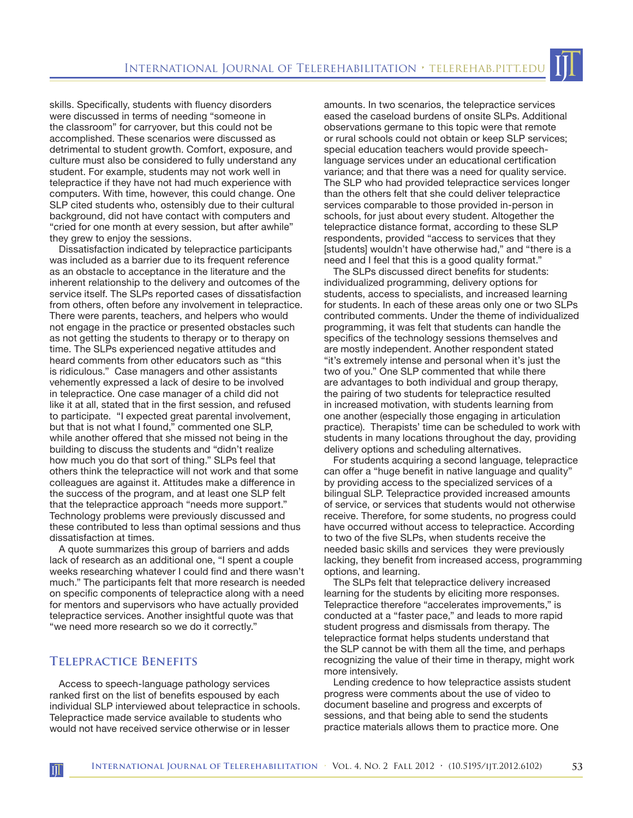skills. Specifically, students with fluency disorders were discussed in terms of needing "someone in the classroom" for carryover, but this could not be accomplished. These scenarios were discussed as detrimental to student growth. Comfort, exposure, and culture must also be considered to fully understand any student. For example, students may not work well in telepractice if they have not had much experience with computers. With time, however, this could change. One SLP cited students who, ostensibly due to their cultural background, did not have contact with computers and "cried for one month at every session, but after awhile" they grew to enjoy the sessions.

Dissatisfaction indicated by telepractice participants was included as a barrier due to its frequent reference as an obstacle to acceptance in the literature and the inherent relationship to the delivery and outcomes of the service itself. The SLPs reported cases of dissatisfaction from others, often before any involvement in telepractice. There were parents, teachers, and helpers who would not engage in the practice or presented obstacles such as not getting the students to therapy or to therapy on time. The SLPs experienced negative attitudes and heard comments from other educators such as "this is ridiculous." Case managers and other assistants vehemently expressed a lack of desire to be involved in telepractice. One case manager of a child did not like it at all, stated that in the first session, and refused to participate. "I expected great parental involvement, but that is not what I found," commented one SLP, while another offered that she missed not being in the building to discuss the students and "didn't realize how much you do that sort of thing." SLPs feel that others think the telepractice will not work and that some colleagues are against it. Attitudes make a difference in the success of the program, and at least one SLP felt that the telepractice approach "needs more support." Technology problems were previously discussed and these contributed to less than optimal sessions and thus dissatisfaction at times.

A quote summarizes this group of barriers and adds lack of research as an additional one, "I spent a couple weeks researching whatever I could find and there wasn't much." The participants felt that more research is needed on specific components of telepractice along with a need for mentors and supervisors who have actually provided telepractice services. Another insightful quote was that "we need more research so we do it correctly."

#### **Telepractice Benefits**

 $\mathbf{H}$ 

Access to speech-language pathology services ranked first on the list of benefits espoused by each individual SLP interviewed about telepractice in schools. Telepractice made service available to students who would not have received service otherwise or in lesser

amounts. In two scenarios, the telepractice services eased the caseload burdens of onsite SLPs. Additional observations germane to this topic were that remote or rural schools could not obtain or keep SLP services; special education teachers would provide speechlanguage services under an educational certification variance; and that there was a need for quality service. The SLP who had provided telepractice services longer than the others felt that she could deliver telepractice services comparable to those provided in-person in schools, for just about every student. Altogether the telepractice distance format, according to these SLP respondents, provided "access to services that they [students] wouldn't have otherwise had," and "there is a need and I feel that this is a good quality format."

The SLPs discussed direct benefits for students: individualized programming, delivery options for students, access to specialists, and increased learning for students. In each of these areas only one or two SLPs contributed comments. Under the theme of individualized programming, it was felt that students can handle the specifics of the technology sessions themselves and are mostly independent. Another respondent stated "it's extremely intense and personal when it's just the two of you." One SLP commented that while there are advantages to both individual and group therapy, the pairing of two students for telepractice resulted in increased motivation, with students learning from one another (especially those engaging in articulation practice). Therapists' time can be scheduled to work with students in many locations throughout the day, providing delivery options and scheduling alternatives.

For students acquiring a second language, telepractice can offer a "huge benefit in native language and quality" by providing access to the specialized services of a bilingual SLP. Telepractice provided increased amounts of service, or services that students would not otherwise receive. Therefore, for some students, no progress could have occurred without access to telepractice. According to two of the five SLPs, when students receive the needed basic skills and services they were previously lacking, they benefit from increased access, programming options, and learning.

The SLPs felt that telepractice delivery increased learning for the students by eliciting more responses. Telepractice therefore "accelerates improvements," is conducted at a "faster pace," and leads to more rapid student progress and dismissals from therapy. The telepractice format helps students understand that the SLP cannot be with them all the time, and perhaps recognizing the value of their time in therapy, might work more intensively.

Lending credence to how telepractice assists student progress were comments about the use of video to document baseline and progress and excerpts of sessions, and that being able to send the students practice materials allows them to practice more. One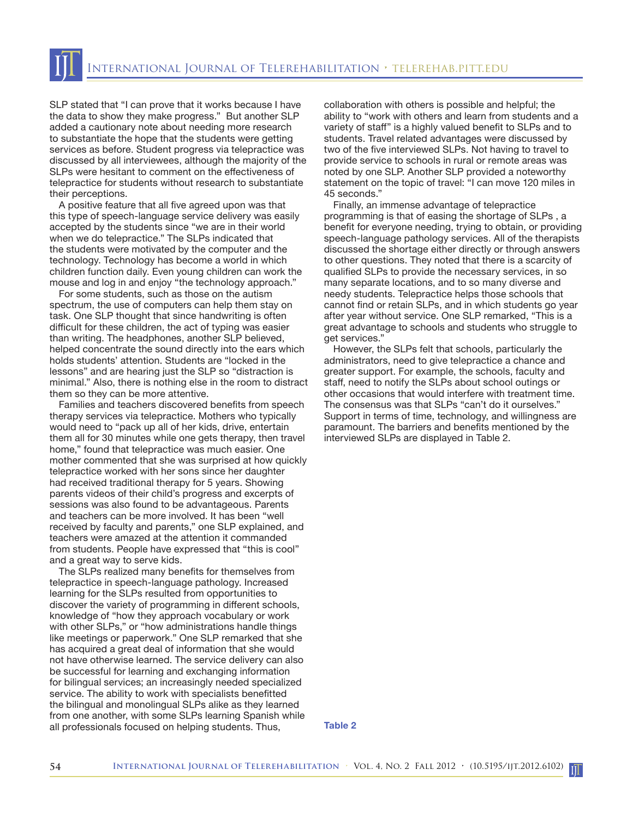SLP stated that "I can prove that it works because I have the data to show they make progress." But another SLP added a cautionary note about needing more research to substantiate the hope that the students were getting services as before. Student progress via telepractice was discussed by all interviewees, although the majority of the SLPs were hesitant to comment on the effectiveness of telepractice for students without research to substantiate their perceptions.

A positive feature that all five agreed upon was that this type of speech-language service delivery was easily accepted by the students since "we are in their world when we do telepractice." The SLPs indicated that the students were motivated by the computer and the technology. Technology has become a world in which children function daily. Even young children can work the mouse and log in and enjoy "the technology approach."

For some students, such as those on the autism spectrum, the use of computers can help them stay on task. One SLP thought that since handwriting is often difficult for these children, the act of typing was easier than writing. The headphones, another SLP believed, helped concentrate the sound directly into the ears which holds students' attention. Students are "locked in the lessons" and are hearing just the SLP so "distraction is minimal." Also, there is nothing else in the room to distract them so they can be more attentive.

Families and teachers discovered benefits from speech therapy services via telepractice. Mothers who typically would need to "pack up all of her kids, drive, entertain them all for 30 minutes while one gets therapy, then travel home," found that telepractice was much easier. One mother commented that she was surprised at how quickly telepractice worked with her sons since her daughter had received traditional therapy for 5 years. Showing parents videos of their child's progress and excerpts of sessions was also found to be advantageous. Parents and teachers can be more involved. It has been "well received by faculty and parents," one SLP explained, and teachers were amazed at the attention it commanded from students. People have expressed that "this is cool" and a great way to serve kids.

The SLPs realized many benefits for themselves from telepractice in speech-language pathology. Increased learning for the SLPs resulted from opportunities to discover the variety of programming in different schools, knowledge of "how they approach vocabulary or work with other SLPs," or "how administrations handle things like meetings or paperwork." One SLP remarked that she has acquired a great deal of information that she would not have otherwise learned. The service delivery can also be successful for learning and exchanging information for bilingual services; an increasingly needed specialized service. The ability to work with specialists benefitted the bilingual and monolingual SLPs alike as they learned from one another, with some SLPs learning Spanish while all professionals focused on helping students. Thus,

collaboration with others is possible and helpful; the ability to "work with others and learn from students and a variety of staff" is a highly valued benefit to SLPs and to students. Travel related advantages were discussed by two of the five interviewed SLPs. Not having to travel to provide service to schools in rural or remote areas was noted by one SLP. Another SLP provided a noteworthy statement on the topic of travel: "I can move 120 miles in 45 seconds."

Finally, an immense advantage of telepractice programming is that of easing the shortage of SLPs , a benefit for everyone needing, trying to obtain, or providing speech-language pathology services. All of the therapists discussed the shortage either directly or through answers to other questions. They noted that there is a scarcity of qualified SLPs to provide the necessary services, in so many separate locations, and to so many diverse and needy students. Telepractice helps those schools that cannot find or retain SLPs, and in which students go year after year without service. One SLP remarked, "This is a great advantage to schools and students who struggle to get services."

However, the SLPs felt that schools, particularly the administrators, need to give telepractice a chance and greater support. For example, the schools, faculty and staff, need to notify the SLPs about school outings or other occasions that would interfere with treatment time. The consensus was that SLPs "can't do it ourselves." Support in terms of time, technology, and willingness are paramount. The barriers and benefits mentioned by the interviewed SLPs are displayed in Table 2.

**Table 2**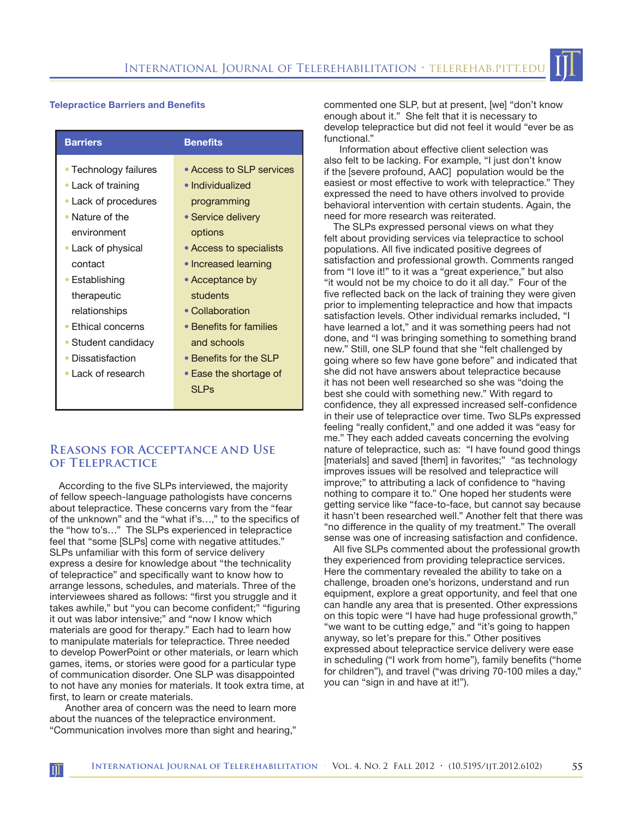#### **Telepractice Barriers and Benefits**

| <b>Barriers</b>                                                                                                                                                                                                                                                            | <b>Benefits</b>                                                                                                                                                                                                                                                                                                  |
|----------------------------------------------------------------------------------------------------------------------------------------------------------------------------------------------------------------------------------------------------------------------------|------------------------------------------------------------------------------------------------------------------------------------------------------------------------------------------------------------------------------------------------------------------------------------------------------------------|
| • Technology failures<br>• Lack of training<br>• Lack of procedures<br>• Nature of the<br>environment<br>• Lack of physical<br>contact<br>• Establishing<br>therapeutic<br>relationships<br>• Ethical concerns<br>Student candidacy<br>Dissatisfaction<br>Lack of research | • Access to SLP services<br>$\bullet$ Individualized<br>programming<br>• Service delivery<br>options<br>• Access to specialists<br>• Increased learning<br>• Acceptance by<br>students<br>• Collaboration<br>• Benefits for families<br>and schools<br>$\bullet$ Benefits for the SI P<br>• Ease the shortage of |
|                                                                                                                                                                                                                                                                            | SI Ps                                                                                                                                                                                                                                                                                                            |

#### **Reasons for Acceptance and Use of Telepractice**

According to the five SLPs interviewed, the majority of fellow speech-language pathologists have concerns about telepractice. These concerns vary from the "fear of the unknown" and the "what if's…," to the specifics of the "how to's…" The SLPs experienced in telepractice feel that "some [SLPs] come with negative attitudes." SLPs unfamiliar with this form of service delivery express a desire for knowledge about "the technicality of telepractice" and specifically want to know how to arrange lessons, schedules, and materials. Three of the interviewees shared as follows: "first you struggle and it takes awhile," but "you can become confident;" "figuring it out was labor intensive;" and "now I know which materials are good for therapy." Each had to learn how to manipulate materials for telepractice. Three needed to develop PowerPoint or other materials, or learn which games, items, or stories were good for a particular type of communication disorder. One SLP was disappointed to not have any monies for materials. It took extra time, at first, to learn or create materials.

Another area of concern was the need to learn more about the nuances of the telepractice environment. "Communication involves more than sight and hearing,"

 $\prod$ 

commented one SLP, but at present, [we] "don't know enough about it." She felt that it is necessary to develop telepractice but did not feel it would "ever be as functional.'

Information about effective client selection was also felt to be lacking. For example, "I just don't know if the [severe profound, AAC] population would be the easiest or most effective to work with telepractice." They expressed the need to have others involved to provide behavioral intervention with certain students. Again, the need for more research was reiterated.

The SLPs expressed personal views on what they felt about providing services via telepractice to school populations. All five indicated positive degrees of satisfaction and professional growth. Comments ranged from "I love it!" to it was a "great experience," but also "it would not be my choice to do it all day." Four of the five reflected back on the lack of training they were given prior to implementing telepractice and how that impacts satisfaction levels. Other individual remarks included, "I have learned a lot," and it was something peers had not done, and "I was bringing something to something brand new." Still, one SLP found that she "felt challenged by going where so few have gone before" and indicated that she did not have answers about telepractice because it has not been well researched so she was "doing the best she could with something new." With regard to confidence, they all expressed increased self-confidence in their use of telepractice over time. Two SLPs expressed feeling "really confident," and one added it was "easy for me." They each added caveats concerning the evolving nature of telepractice, such as: "I have found good things [materials] and saved [them] in favorites;" "as technology improves issues will be resolved and telepractice will improve;" to attributing a lack of confidence to "having nothing to compare it to." One hoped her students were getting service like "face-to-face, but cannot say because it hasn't been researched well." Another felt that there was "no difference in the quality of my treatment." The overall sense was one of increasing satisfaction and confidence.

All five SLPs commented about the professional growth they experienced from providing telepractice services. Here the commentary revealed the ability to take on a challenge, broaden one's horizons, understand and run equipment, explore a great opportunity, and feel that one can handle any area that is presented. Other expressions on this topic were "I have had huge professional growth," "we want to be cutting edge," and "it's going to happen anyway, so let's prepare for this." Other positives expressed about telepractice service delivery were ease in scheduling ("I work from home"), family benefits ("home for children"), and travel ("was driving 70-100 miles a day," you can "sign in and have at it!").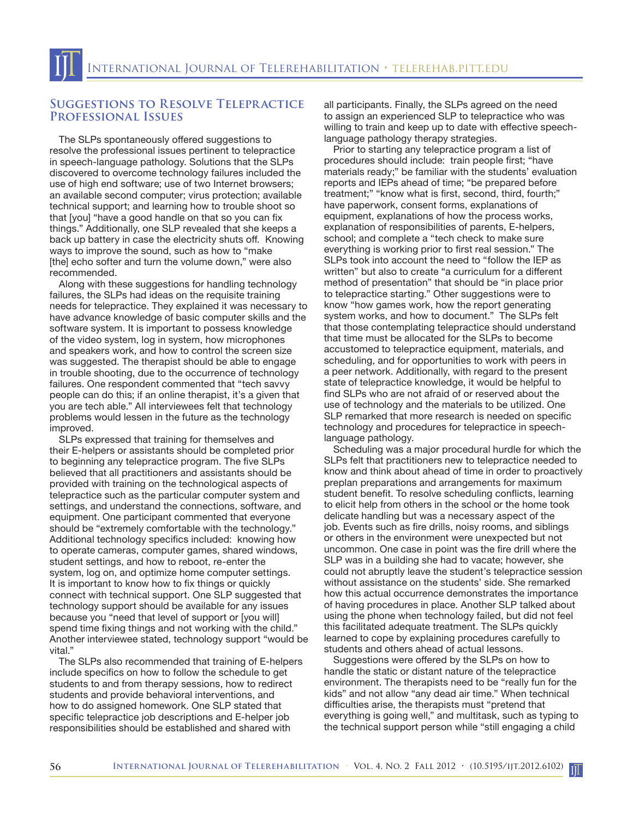#### **Suggestions to Resolve Telepractice Professional Issues**

The SLPs spontaneously offered suggestions to resolve the professional issues pertinent to telepractice in speech-language pathology. Solutions that the SLPs discovered to overcome technology failures included the use of high end software; use of two Internet browsers; an available second computer; virus protection; available technical support; and learning how to trouble shoot so that [you] "have a good handle on that so you can fix things." Additionally, one SLP revealed that she keeps a back up battery in case the electricity shuts off. Knowing ways to improve the sound, such as how to "make [the] echo softer and turn the volume down," were also recommended.

Along with these suggestions for handling technology failures, the SLPs had ideas on the requisite training needs for telepractice. They explained it was necessary to have advance knowledge of basic computer skills and the software system. It is important to possess knowledge of the video system, log in system, how microphones and speakers work, and how to control the screen size was suggested. The therapist should be able to engage in trouble shooting, due to the occurrence of technology failures. One respondent commented that "tech savvy people can do this; if an online therapist, it's a given that you are tech able." All interviewees felt that technology problems would lessen in the future as the technology improved.

SLPs expressed that training for themselves and their E-helpers or assistants should be completed prior to beginning any telepractice program. The five SLPs believed that all practitioners and assistants should be provided with training on the technological aspects of telepractice such as the particular computer system and settings, and understand the connections, software, and equipment. One participant commented that everyone should be "extremely comfortable with the technology." Additional technology specifics included: knowing how to operate cameras, computer games, shared windows, student settings, and how to reboot, re-enter the system, log on, and optimize home computer settings. It is important to know how to fix things or quickly connect with technical support. One SLP suggested that technology support should be available for any issues because you "need that level of support or [you will] spend time fixing things and not working with the child." Another interviewee stated, technology support "would be vital."

The SLPs also recommended that training of E-helpers include specifics on how to follow the schedule to get students to and from therapy sessions, how to redirect students and provide behavioral interventions, and how to do assigned homework. One SLP stated that specific telepractice job descriptions and E-helper job responsibilities should be established and shared with

all participants. Finally, the SLPs agreed on the need to assign an experienced SLP to telepractice who was willing to train and keep up to date with effective speechlanguage pathology therapy strategies.

Prior to starting any telepractice program a list of procedures should include: train people first; "have materials ready;" be familiar with the students' evaluation reports and IEPs ahead of time; "be prepared before treatment;" "know what is first, second, third, fourth;" have paperwork, consent forms, explanations of equipment, explanations of how the process works, explanation of responsibilities of parents, E-helpers, school; and complete a "tech check to make sure everything is working prior to first real session." The SLPs took into account the need to "follow the IEP as written" but also to create "a curriculum for a different method of presentation" that should be "in place prior to telepractice starting." Other suggestions were to know "how games work, how the report generating system works, and how to document." The SLPs felt that those contemplating telepractice should understand that time must be allocated for the SLPs to become accustomed to telepractice equipment, materials, and scheduling, and for opportunities to work with peers in a peer network. Additionally, with regard to the present state of telepractice knowledge, it would be helpful to find SLPs who are not afraid of or reserved about the use of technology and the materials to be utilized. One SLP remarked that more research is needed on specific technology and procedures for telepractice in speechlanguage pathology.

Scheduling was a major procedural hurdle for which the SLPs felt that practitioners new to telepractice needed to know and think about ahead of time in order to proactively preplan preparations and arrangements for maximum student benefit. To resolve scheduling conflicts, learning to elicit help from others in the school or the home took delicate handling but was a necessary aspect of the job. Events such as fire drills, noisy rooms, and siblings or others in the environment were unexpected but not uncommon. One case in point was the fire drill where the SLP was in a building she had to vacate; however, she could not abruptly leave the student's telepractice session without assistance on the students' side. She remarked how this actual occurrence demonstrates the importance of having procedures in place. Another SLP talked about using the phone when technology failed, but did not feel this facilitated adequate treatment. The SLPs quickly learned to cope by explaining procedures carefully to students and others ahead of actual lessons.

Suggestions were offered by the SLPs on how to handle the static or distant nature of the telepractice environment. The therapists need to be "really fun for the kids" and not allow "any dead air time." When technical difficulties arise, the therapists must "pretend that everything is going well," and multitask, such as typing to the technical support person while "still engaging a child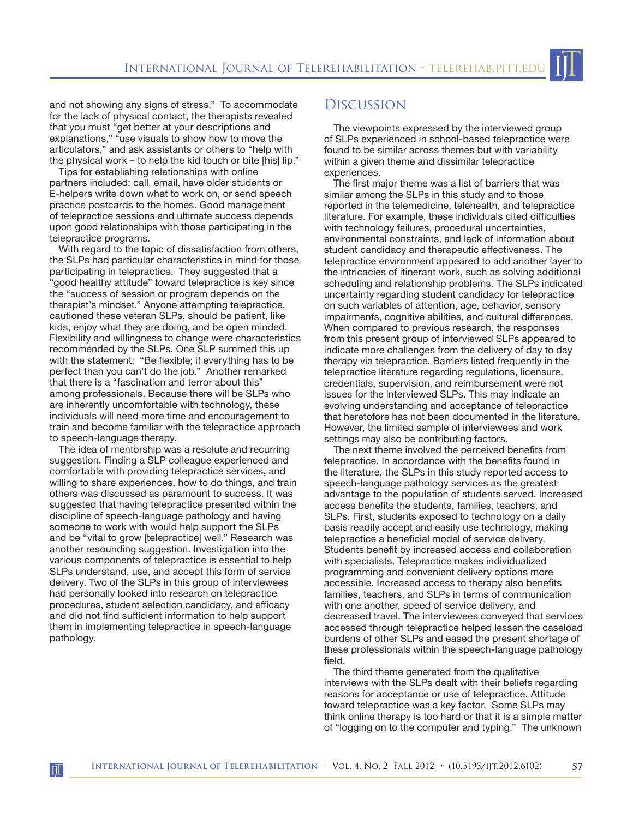and not showing any signs of stress." To accommodate for the lack of physical contact, the therapists revealed that you must "get better at your descriptions and explanations," "use visuals to show how to move the articulators," and ask assistants or others to "help with the physical work – to help the kid touch or bite [his] lip."

Tips for establishing relationships with online partners included: call, email, have older students or E-helpers write down what to work on, or send speech practice postcards to the homes. Good management of telepractice sessions and ultimate success depends upon good relationships with those participating in the telepractice programs.

With regard to the topic of dissatisfaction from others, the SLPs had particular characteristics in mind for those participating in telepractice. They suggested that a "good healthy attitude" toward telepractice is key since the "success of session or program depends on the therapist's mindset." Anyone attempting telepractice, cautioned these veteran SLPs, should be patient, like kids, enjoy what they are doing, and be open minded. Flexibility and willingness to change were characteristics recommended by the SLPs. One SLP summed this up with the statement: "Be flexible; if everything has to be perfect than you can't do the job." Another remarked that there is a "fascination and terror about this" among professionals. Because there will be SLPs who are inherently uncomfortable with technology, these individuals will need more time and encouragement to train and become familiar with the telepractice approach to speech-language therapy.

The idea of mentorship was a resolute and recurring suggestion. Finding a SLP colleague experienced and comfortable with providing telepractice services, and willing to share experiences, how to do things, and train others was discussed as paramount to success. It was suggested that having telepractice presented within the discipline of speech-language pathology and having someone to work with would help support the SLPs and be "vital to grow [telepractice] well." Research was another resounding suggestion. Investigation into the various components of telepractice is essential to help SLPs understand, use, and accept this form of service delivery. Two of the SLPs in this group of interviewees had personally looked into research on telepractice procedures, student selection candidacy, and efficacy and did not find sufficient information to help support them in implementing telepractice in speech-language pathology.

 $\prod$ 

## Discussion

The viewpoints expressed by the interviewed group of SLPs experienced in school-based telepractice were found to be similar across themes but with variability within a given theme and dissimilar telepractice experiences.

The first major theme was a list of barriers that was similar among the SLPs in this study and to those reported in the telemedicine, telehealth, and telepractice literature. For example, these individuals cited difficulties with technology failures, procedural uncertainties, environmental constraints, and lack of information about student candidacy and therapeutic effectiveness. The telepractice environment appeared to add another layer to the intricacies of itinerant work, such as solving additional scheduling and relationship problems. The SLPs indicated uncertainty regarding student candidacy for telepractice on such variables of attention, age, behavior, sensory impairments, cognitive abilities, and cultural differences. When compared to previous research, the responses from this present group of interviewed SLPs appeared to indicate more challenges from the delivery of day to day therapy via telepractice. Barriers listed frequently in the telepractice literature regarding regulations, licensure, credentials, supervision, and reimbursement were not issues for the interviewed SLPs. This may indicate an evolving understanding and acceptance of telepractice that heretofore has not been documented in the literature. However, the limited sample of interviewees and work settings may also be contributing factors.

The next theme involved the perceived benefits from telepractice. In accordance with the benefits found in the literature, the SLPs in this study reported access to speech-language pathology services as the greatest advantage to the population of students served. Increased access benefits the students, families, teachers, and SLPs. First, students exposed to technology on a daily basis readily accept and easily use technology, making telepractice a beneficial model of service delivery. Students benefit by increased access and collaboration with specialists. Telepractice makes individualized programming and convenient delivery options more accessible. Increased access to therapy also benefits families, teachers, and SLPs in terms of communication with one another, speed of service delivery, and decreased travel. The interviewees conveyed that services accessed through telepractice helped lessen the caseload burdens of other SLPs and eased the present shortage of these professionals within the speech-language pathology field.

The third theme generated from the qualitative interviews with the SLPs dealt with their beliefs regarding reasons for acceptance or use of telepractice. Attitude toward telepractice was a key factor. Some SLPs may think online therapy is too hard or that it is a simple matter of "logging on to the computer and typing." The unknown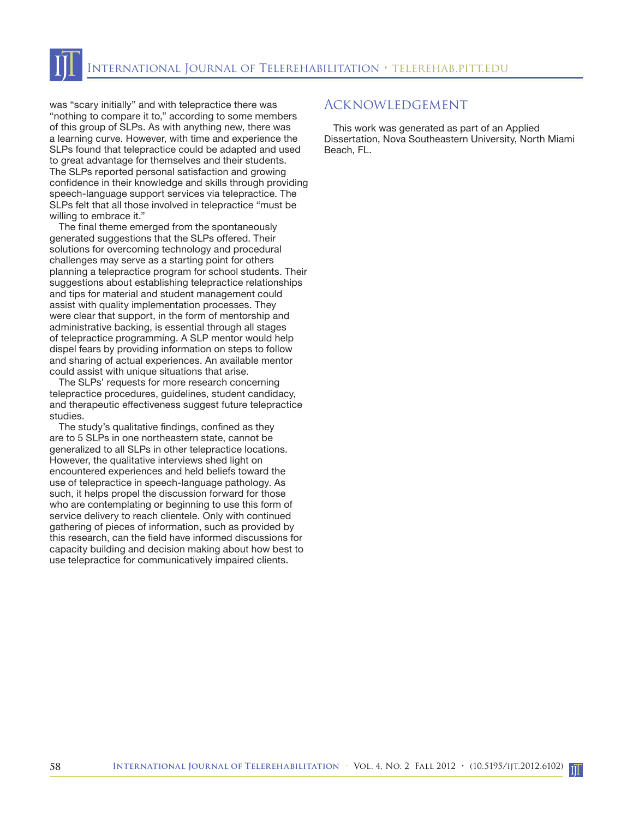was "scary initially" and with telepractice there was "nothing to compare it to," according to some members of this group of SLPs. As with anything new, there was a learning curve. However, with time and experience the SLPs found that telepractice could be adapted and used to great advantage for themselves and their students. The SLPs reported personal satisfaction and growing confidence in their knowledge and skills through providing speech-language support services via telepractice. The SLPs felt that all those involved in telepractice "must be willing to embrace it."

The final theme emerged from the spontaneously generated suggestions that the SLPs offered. Their solutions for overcoming technology and procedural challenges may serve as a starting point for others planning a telepractice program for school students. Their suggestions about establishing telepractice relationships and tips for material and student management could assist with quality implementation processes. They were clear that support, in the form of mentorship and administrative backing, is essential through all stages of telepractice programming. A SLP mentor would help dispel fears by providing information on steps to follow and sharing of actual experiences. An available mentor could assist with unique situations that arise.

The SLPs' requests for more research concerning telepractice procedures, guidelines, student candidacy, and therapeutic effectiveness suggest future telepractice studies.

The study's qualitative findings, confined as they are to 5 SLPs in one northeastern state, cannot be generalized to all SLPs in other telepractice locations. However, the qualitative interviews shed light on encountered experiences and held beliefs toward the use of telepractice in speech-language pathology. As such, it helps propel the discussion forward for those who are contemplating or beginning to use this form of service delivery to reach clientele. Only with continued gathering of pieces of information, such as provided by this research, can the field have informed discussions for capacity building and decision making about how best to use telepractice for communicatively impaired clients.

## Acknowledgement

This work was generated as part of an Applied Dissertation, Nova Southeastern University, North Miami Beach, FL.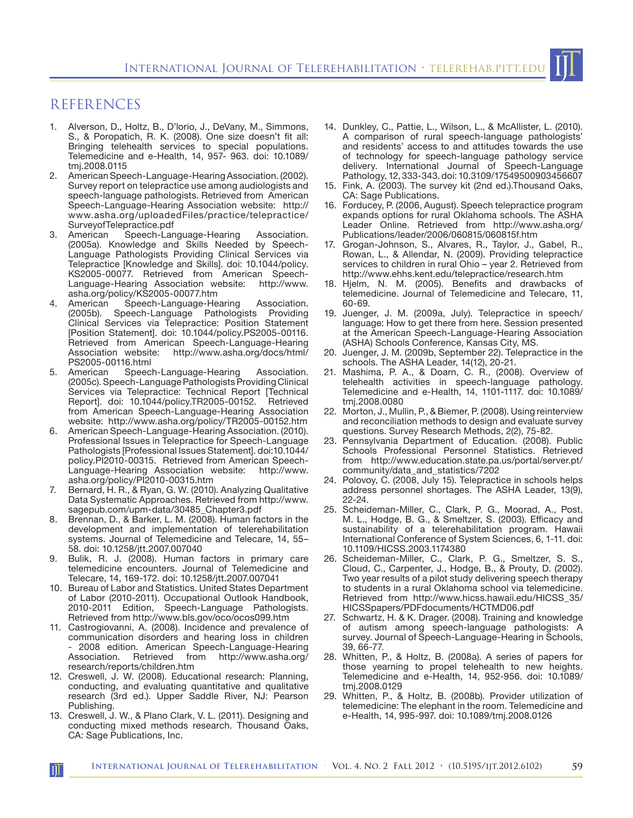

- 1. Alverson, D., Holtz, B., D'lorio, J., DeVany, M., Simmons, S., & Poropatich, R. K. (2008). One size doesn't fit all: Bringing telehealth services to special populations. Telemedicine and e-Health, 14, 957- 963. doi: 10.1089/ tmj.2008.0115
- 2. American Speech-Language-Hearing Association. (2002). Survey report on telepractice use among audiologists and speech-language pathologists. Retrieved from American Speech-Language-Hearing Association website: http:// www.asha.org/uploadedFiles/practice/telepractice/
- SurveyofTelepractice.pdf<br>3. American Speech-Lar Speech-Language-Hearing Association. (2005a). Knowledge and Skills Needed by Speech-Language Pathologists Providing Clinical Services via Telepractice [Knowledge and Skills]. doi: 10.1044/policy. KS2005-00077. Retrieved from American Speech-<br>Language-Hearing Association website: http://www. Language-Hearing Association website: http://www. asha.org/policy/KS2005-00077.htm
- 4. American Speech-Language-Hearing Association. (2005b). Speech-Language Pathologists Providing Clinical Services via Telepractice: Position Statement [Position Statement]. doi: 10.1044/policy.PS2005-00116. Retrieved from American Speech-Language-Hearing Association website: http://www.asha.org/docs/html/ PS2005-00116.html
- 5. American Speech-Language-Hearing Association. (2005c). Speech-Language Pathologists Providing Clinical Services via Telepractice: Technical Report [Technical Report]. doi: 10.1044/policy.TR2005-00152. Retrieved from American Speech-Language-Hearing Association website: http://www.asha.org/policy/TR2005-00152.htm
- 6. American Speech-Language-Hearing Association. (2010). Professional Issues in Telepractice for Speech-Language Pathologists [Professional Issues Statement]. doi:10.1044/ policy.PI2010-00315. Retrieved from American Speech-Language-Hearing Association website: http://www. asha.org/policy/PI2010-00315.htm
- 7. Bernard, H. R., & Ryan, G. W. (2010). Analyzing Qualitative Data Systematic Approaches. Retrieved from http://www. sagepub.com/upm-data/30485\_Chapter3.pdf
- 8. Brennan, D., & Barker, L. M. (2008). Human factors in the development and implementation of telerehabilitation systems. Journal of Telemedicine and Telecare, 14, 55– 58. doi: 10.1258/jtt.2007.007040
- 9. Bulik, R. J. (2008). Human factors in primary care telemedicine encounters. Journal of Telemedicine and Telecare, 14, 169-172. doi: 10.1258/jtt.2007.007041
- 10. Bureau of Labor and Statistics. United States Department of Labor (2010-2011). Occupational Outlook Handbook, 2010-2011 Edition, Speech-Language Pathologists. Retrieved from http://www.bls.gov/oco/ocos099.htm
- 11. Castrogiovanni, A. (2008). Incidence and prevalence of communication disorders and hearing loss in children - 2008 edition. American Speech-Language-Hearing<br>Association. Retrieved from http://www.asha.org/ http://www.asha.org/ research/reports/children.htm
- 12. Creswell, J. W. (2008). Educational research: Planning, conducting, and evaluating quantitative and qualitative research (3rd ed.). Upper Saddle River, NJ: Pearson Publishing.
- 13. Creswell, J. W., & Plano Clark, V. L. (2011). Designing and conducting mixed methods research. Thousand Oaks, CA: Sage Publications, Inc.
- 14. Dunkley, C., Pattie, L., Wilson, L., & McAllister, L. (2010). A comparison of rural speech-language pathologists' and residents' access to and attitudes towards the use of technology for speech-language pathology service delivery. International Journal of Speech-Language Pathology, 12, 333-343. doi: 10.3109/17549500903456607
- 15. Fink, A. (2003). The survey kit (2nd ed.).Thousand Oaks, CA: Sage Publications.
- 16. Forducey, P. (2006, August). Speech telepractice program expands options for rural Oklahoma schools. The ASHA Leader Online. Retrieved from http://www.asha.org/ Publications/leader/2006/060815/060815f.htm
- 17. Grogan-Johnson, S., Alvares, R., Taylor, J., Gabel, R., Rowan, L., & Allendar, N. (2009). Providing telepractice services to children in rural Ohio – year 2. Retrieved from http://www.ehhs.kent.edu/telepractice/research.htm
- 18. Hjelm, N. M. (2005). Benefits and drawbacks of telemedicine. Journal of Telemedicine and Telecare, 11, 60-69.
- 19. Juenger, J. M. (2009a, July). Telepractice in speech/ language: How to get there from here. Session presented at the American Speech-Language-Hearing Association (ASHA) Schools Conference, Kansas City, MS.
- 20. Juenger, J. M. (2009b, September 22). Telepractice in the schools. The ASHA Leader, 14(12), 20-21.
- 21. Mashima, P. A., & Doarn, C. R., (2008). Overview of telehealth activities in speech-language pathology. Telemedicine and e-Health, 14, 1101-1117. doi: 10.1089/ tmj.2008.0080
- 22. Morton, J., Mullin, P., & Biemer, P. (2008). Using reinterview and reconciliation methods to design and evaluate survey questions. Survey Research Methods, 2(2), 75-82.
- 23. Pennsylvania Department of Education. (2008). Public Schools Professional Personnel Statistics. Retrieved from http://www.education.state.pa.us/portal/server.pt/ community/data\_and\_statistics/7202
- 24. Polovoy, C. (2008, July 15). Telepractice in schools helps address personnel shortages. The ASHA Leader, 13(9), 22-24.
- 25. Scheideman-Miller, C., Clark, P. G., Moorad, A., Post, M. L., Hodge, B. G., & Smeltzer, S. (2003). Efficacy and sustainability of a telerehabilitation program. Hawaii International Conference of System Sciences, 6, 1-11. doi: 10.1109/HICSS.2003.1174380
- 26. Scheideman-Miller, C., Clark, P. G., Smeltzer, S. S., Cloud, C., Carpenter, J., Hodge, B., & Prouty, D. (2002). Two year results of a pilot study delivering speech therapy to students in a rural Oklahoma school via telemedicine. Retrieved from http://www.hicss.hawaii.edu/HICSS\_35/ HICSSpapers/PDFdocuments/HCTMD06.pdf
- 27. Schwartz, H. & K. Drager. (2008). Training and knowledge of autism among speech-language pathologists: A survey. Journal of Speech-Language-Hearing in Schools, 39, 66-77.
- 28. Whitten, P., & Holtz, B. (2008a). A series of papers for those yearning to propel telehealth to new heights. Telemedicine and e-Health, 14, 952-956. doi: 10.1089/ tmj.2008.0129
- 29. Whitten, P., & Holtz, B. (2008b). Provider utilization of telemedicine: The elephant in the room. Telemedicine and e-Health, 14, 995-997. doi: 10.1089/tmj.2008.0126

 $\mathbb{H}$